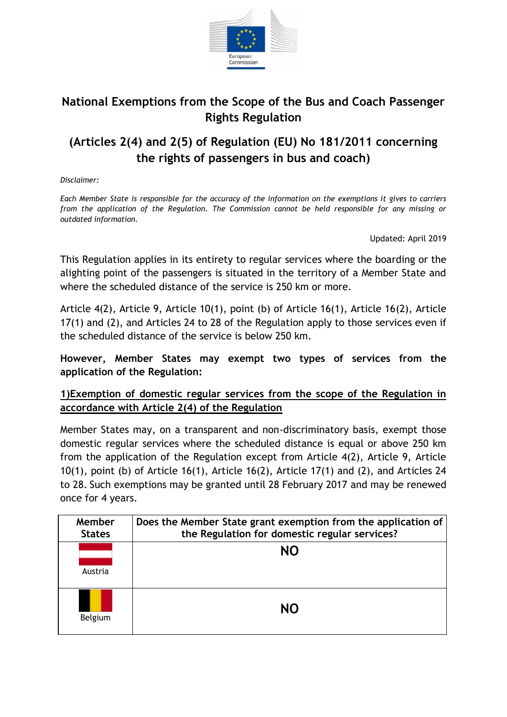

## **National Exemptions from the Scope of the Bus and Coach Passenger Rights Regulation**

## **(Articles 2(4) and 2(5) of Regulation (EU) No 181/2011 concerning the rights of passengers in bus and coach)**

*Disclaimer:*

*Each Member State is responsible for the accuracy of the information on the exemptions it gives to carriers from the application of the Regulation. The Commission cannot be held responsible for any missing or outdated information.*

Updated: April 2019

This Regulation applies in its entirety to regular services where the boarding or the alighting point of the passengers is situated in the territory of a Member State and where the scheduled distance of the service is 250 km or more.

Article 4(2), Article 9, Article 10(1), point (b) of Article 16(1), Article 16(2), Article 17(1) and (2), and Articles 24 to 28 of the Regulation apply to those services even if the scheduled distance of the service is below 250 km.

**However, Member States may exempt two types of services from the application of the Regulation:**

## **1)Exemption of domestic regular services from the scope of the Regulation in accordance with Article 2(4) of the Regulation**

Member States may, on a transparent and non-discriminatory basis, exempt those domestic regular services where the scheduled distance is equal or above 250 km from the application of the Regulation except from Article 4(2), Article 9, Article 10(1), point (b) of Article 16(1), Article 16(2), Article 17(1) and (2), and Articles 24 to 28. Such exemptions may be granted until 28 February 2017 and may be renewed once for 4 years.

| Member<br><b>States</b> | Does the Member State grant exemption from the application of<br>the Regulation for domestic regular services? |
|-------------------------|----------------------------------------------------------------------------------------------------------------|
| Austria                 | NΟ                                                                                                             |
| Belgium                 | NΟ                                                                                                             |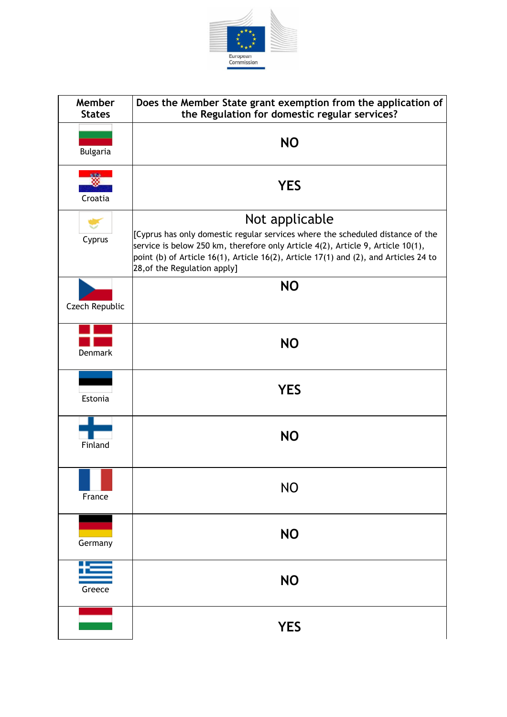

| Member<br><b>States</b> | Does the Member State grant exemption from the application of<br>the Regulation for domestic regular services?                                                                                                                                                                                              |
|-------------------------|-------------------------------------------------------------------------------------------------------------------------------------------------------------------------------------------------------------------------------------------------------------------------------------------------------------|
| <b>Bulgaria</b>         | <b>NO</b>                                                                                                                                                                                                                                                                                                   |
| to the<br>Croatia       | <b>YES</b>                                                                                                                                                                                                                                                                                                  |
| Cyprus                  | Not applicable<br>[Cyprus has only domestic regular services where the scheduled distance of the<br>service is below 250 km, therefore only Article 4(2), Article 9, Article 10(1),<br>point (b) of Article 16(1), Article 16(2), Article 17(1) and (2), and Articles 24 to<br>28, of the Regulation apply] |
| Czech Republic          | <b>NO</b>                                                                                                                                                                                                                                                                                                   |
| <b>Denmark</b>          | <b>NO</b>                                                                                                                                                                                                                                                                                                   |
| Estonia                 | <b>YES</b>                                                                                                                                                                                                                                                                                                  |
| Finland                 | <b>NO</b>                                                                                                                                                                                                                                                                                                   |
| France                  | <b>NO</b>                                                                                                                                                                                                                                                                                                   |
| Germany                 | <b>NO</b>                                                                                                                                                                                                                                                                                                   |
| Greece                  | <b>NO</b>                                                                                                                                                                                                                                                                                                   |
|                         | <b>YES</b>                                                                                                                                                                                                                                                                                                  |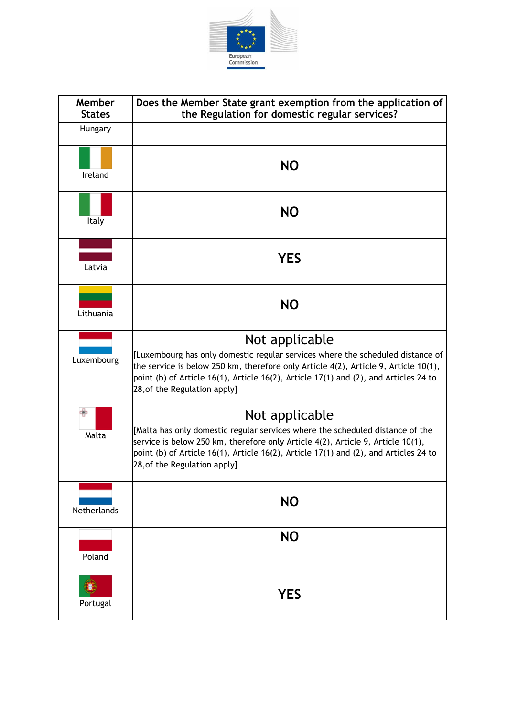

| Member<br><b>States</b> | Does the Member State grant exemption from the application of<br>the Regulation for domestic regular services?                                                                                                                                                                                                  |
|-------------------------|-----------------------------------------------------------------------------------------------------------------------------------------------------------------------------------------------------------------------------------------------------------------------------------------------------------------|
| Hungary                 |                                                                                                                                                                                                                                                                                                                 |
| Ireland                 | <b>NO</b>                                                                                                                                                                                                                                                                                                       |
| Italy                   | <b>NO</b>                                                                                                                                                                                                                                                                                                       |
| Latvia                  | <b>YES</b>                                                                                                                                                                                                                                                                                                      |
| Lithuania               | <b>NO</b>                                                                                                                                                                                                                                                                                                       |
| Luxembourg              | Not applicable<br>[Luxembourg has only domestic regular services where the scheduled distance of<br>the service is below 250 km, therefore only Article 4(2), Article 9, Article 10(1),<br>point (b) of Article 16(1), Article 16(2), Article 17(1) and (2), and Articles 24 to<br>28, of the Regulation apply] |
| Malta                   | Not applicable<br>[Malta has only domestic regular services where the scheduled distance of the<br>service is below 250 km, therefore only Article 4(2), Article 9, Article 10(1),<br>point (b) of Article 16(1), Article 16(2), Article 17(1) and (2), and Articles 24 to<br>28, of the Regulation apply]      |
| Netherlands             | <b>NO</b>                                                                                                                                                                                                                                                                                                       |
| Poland                  | <b>NO</b>                                                                                                                                                                                                                                                                                                       |
| Portugal                | <b>YES</b>                                                                                                                                                                                                                                                                                                      |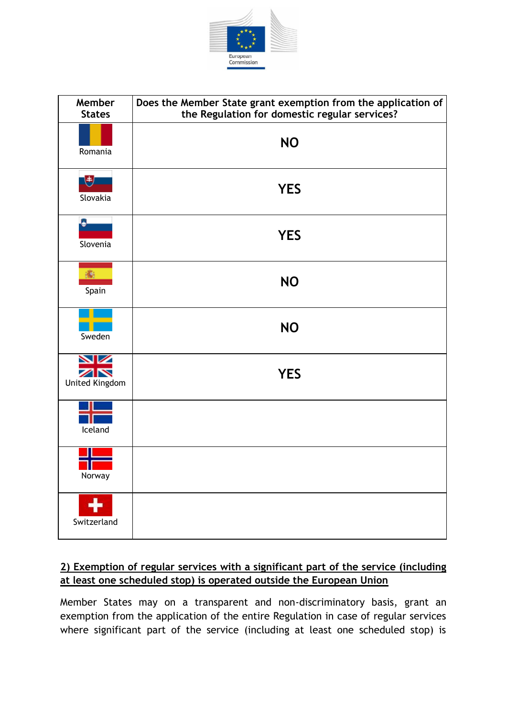

| Member<br><b>States</b>     | Does the Member State grant exemption from the application of<br>the Regulation for domestic regular services? |
|-----------------------------|----------------------------------------------------------------------------------------------------------------|
| Romania                     | <b>NO</b>                                                                                                      |
| 电<br>Slovakia               | <b>YES</b>                                                                                                     |
| Slovenia                    | <b>YES</b>                                                                                                     |
| 癟<br>Spain                  | <b>NO</b>                                                                                                      |
| Sweden                      | <b>NO</b>                                                                                                      |
| ↘☑<br>╱│╲<br>United Kingdom | <b>YES</b>                                                                                                     |
| Iceland                     |                                                                                                                |
| Norway                      |                                                                                                                |
| Switzerland                 |                                                                                                                |

## **2) Exemption of regular services with a significant part of the service (including at least one scheduled stop) is operated outside the European Union**

Member States may on a transparent and non-discriminatory basis, grant an exemption from the application of the entire Regulation in case of regular services where significant part of the service (including at least one scheduled stop) is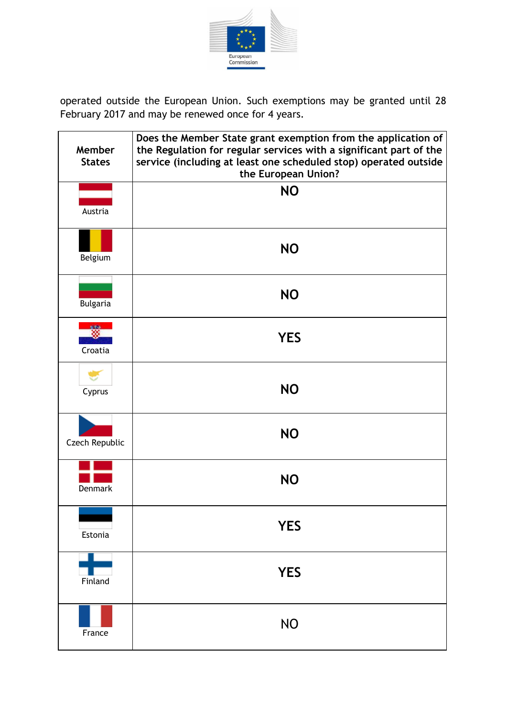

operated outside the European Union. Such exemptions may be granted until 28 February 2017 and may be renewed once for 4 years.

| Member<br><b>States</b> | Does the Member State grant exemption from the application of<br>the Regulation for regular services with a significant part of the<br>service (including at least one scheduled stop) operated outside<br>the European Union? |
|-------------------------|--------------------------------------------------------------------------------------------------------------------------------------------------------------------------------------------------------------------------------|
| Austria                 | <b>NO</b>                                                                                                                                                                                                                      |
| Belgium                 | <b>NO</b>                                                                                                                                                                                                                      |
| <b>Bulgaria</b>         | <b>NO</b>                                                                                                                                                                                                                      |
| V 94<br>₩<br>Croatia    | <b>YES</b>                                                                                                                                                                                                                     |
| Cyprus                  | <b>NO</b>                                                                                                                                                                                                                      |
| Czech Republic          | <b>NO</b>                                                                                                                                                                                                                      |
| Denmark                 | <b>NO</b>                                                                                                                                                                                                                      |
| Estonia                 | <b>YES</b>                                                                                                                                                                                                                     |
| Finland                 | <b>YES</b>                                                                                                                                                                                                                     |
| France                  | <b>NO</b>                                                                                                                                                                                                                      |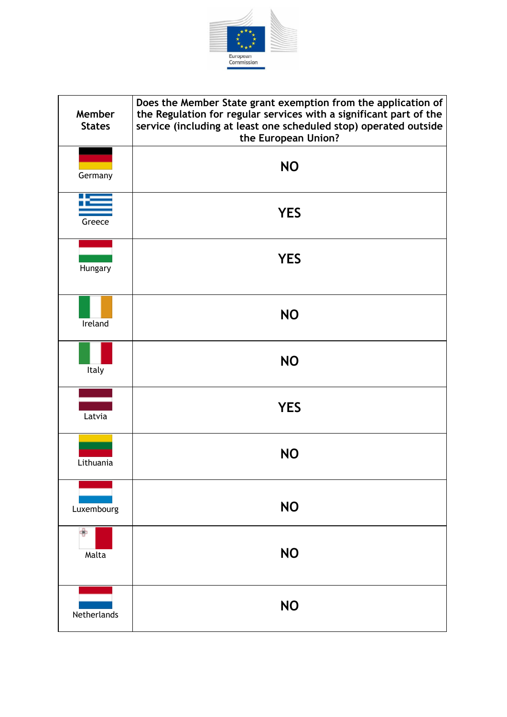

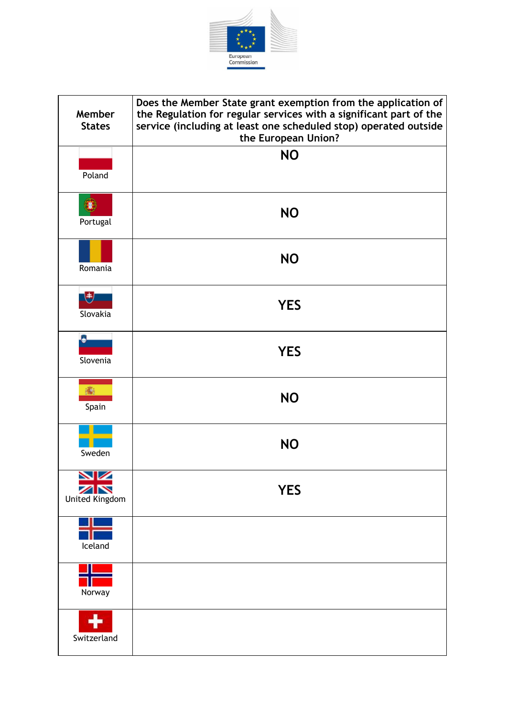